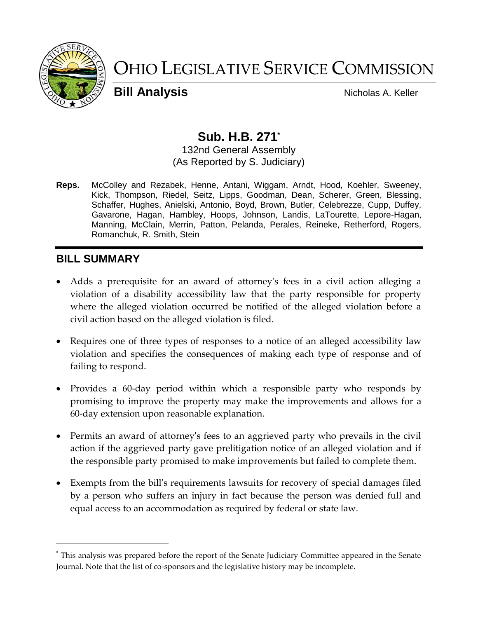

# OHIO LEGISLATIVE SERVICE COMMISSION

**Bill Analysis** Nicholas A. Keller

# **Sub. H.B. 271\***

132nd General Assembly (As Reported by S. Judiciary)

**Reps.** McColley and Rezabek, Henne, Antani, Wiggam, Arndt, Hood, Koehler, Sweeney, Kick, Thompson, Riedel, Seitz, Lipps, Goodman, Dean, Scherer, Green, Blessing, Schaffer, Hughes, Anielski, Antonio, Boyd, Brown, Butler, Celebrezze, Cupp, Duffey, Gavarone, Hagan, Hambley, Hoops, Johnson, Landis, LaTourette, Lepore-Hagan, Manning, McClain, Merrin, Patton, Pelanda, Perales, Reineke, Retherford, Rogers, Romanchuk, R. Smith, Stein

# **BILL SUMMARY**

- Adds a prerequisite for an award of attorney's fees in a civil action alleging a violation of a disability accessibility law that the party responsible for property where the alleged violation occurred be notified of the alleged violation before a civil action based on the alleged violation is filed.
- Requires one of three types of responses to a notice of an alleged accessibility law violation and specifies the consequences of making each type of response and of failing to respond.
- Provides a 60-day period within which a responsible party who responds by promising to improve the property may make the improvements and allows for a 60-day extension upon reasonable explanation.
- Permits an award of attorney's fees to an aggrieved party who prevails in the civil action if the aggrieved party gave prelitigation notice of an alleged violation and if the responsible party promised to make improvements but failed to complete them.
- Exempts from the bill's requirements lawsuits for recovery of special damages filed by a person who suffers an injury in fact because the person was denied full and equal access to an accommodation as required by federal or state law.

<sup>\*</sup> This analysis was prepared before the report of the Senate Judiciary Committee appeared in the Senate Journal. Note that the list of co-sponsors and the legislative history may be incomplete.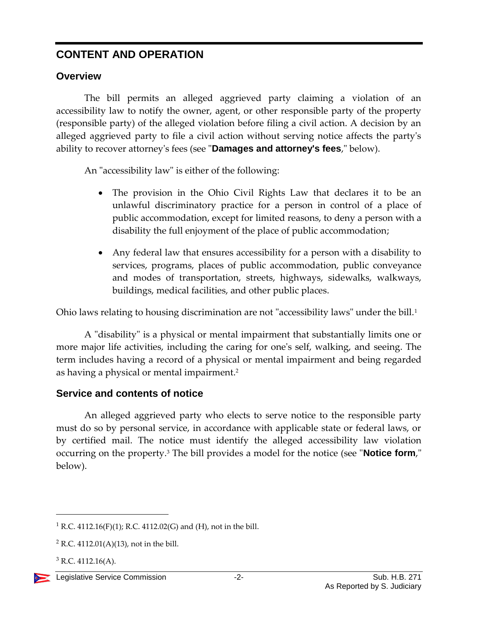# **CONTENT AND OPERATION**

### **Overview**

The bill permits an alleged aggrieved party claiming a violation of an accessibility law to notify the owner, agent, or other responsible party of the property (responsible party) of the alleged violation before filing a civil action. A decision by an alleged aggrieved party to file a civil action without serving notice affects the party's ability to recover attorney's fees (see "**Damages and attorney's fees**," below).

An "accessibility law" is either of the following:

- The provision in the Ohio Civil Rights Law that declares it to be an unlawful discriminatory practice for a person in control of a place of public accommodation, except for limited reasons, to deny a person with a disability the full enjoyment of the place of public accommodation;
- Any federal law that ensures accessibility for a person with a disability to services, programs, places of public accommodation, public conveyance and modes of transportation, streets, highways, sidewalks, walkways, buildings, medical facilities, and other public places.

Ohio laws relating to housing discrimination are not "accessibility laws" under the bill.<sup>1</sup>

A "disability" is a physical or mental impairment that substantially limits one or more major life activities, including the caring for one's self, walking, and seeing. The term includes having a record of a physical or mental impairment and being regarded as having a physical or mental impairment.<sup>2</sup>

# **Service and contents of notice**

An alleged aggrieved party who elects to serve notice to the responsible party must do so by personal service, in accordance with applicable state or federal laws, or by certified mail. The notice must identify the alleged accessibility law violation occurring on the property.<sup>3</sup> The bill provides a model for the notice (see "**Notice form**," below).

<sup>&</sup>lt;sup>1</sup> R.C. 4112.16(F)(1); R.C. 4112.02(G) and (H), not in the bill.

 $2$  R.C. 4112.01(A)(13), not in the bill.

 $3$  R.C. 4112.16(A).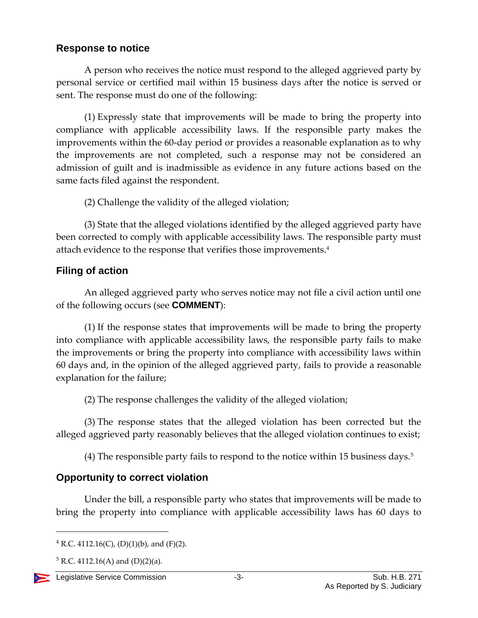#### **Response to notice**

A person who receives the notice must respond to the alleged aggrieved party by personal service or certified mail within 15 business days after the notice is served or sent. The response must do one of the following:

(1) Expressly state that improvements will be made to bring the property into compliance with applicable accessibility laws. If the responsible party makes the improvements within the 60-day period or provides a reasonable explanation as to why the improvements are not completed, such a response may not be considered an admission of guilt and is inadmissible as evidence in any future actions based on the same facts filed against the respondent.

(2) Challenge the validity of the alleged violation;

(3) State that the alleged violations identified by the alleged aggrieved party have been corrected to comply with applicable accessibility laws. The responsible party must attach evidence to the response that verifies those improvements.<sup>4</sup>

#### **Filing of action**

An alleged aggrieved party who serves notice may not file a civil action until one of the following occurs (see **COMMENT**):

(1) If the response states that improvements will be made to bring the property into compliance with applicable accessibility laws, the responsible party fails to make the improvements or bring the property into compliance with accessibility laws within 60 days and, in the opinion of the alleged aggrieved party, fails to provide a reasonable explanation for the failure;

(2) The response challenges the validity of the alleged violation;

(3) The response states that the alleged violation has been corrected but the alleged aggrieved party reasonably believes that the alleged violation continues to exist;

(4) The responsible party fails to respond to the notice within 15 business days.<sup>5</sup>

# **Opportunity to correct violation**

Under the bill, a responsible party who states that improvements will be made to bring the property into compliance with applicable accessibility laws has 60 days to

 $5 R.C. 4112.16(A)$  and  $(D)(2)(a)$ .



 $4$  R.C. 4112.16(C), (D)(1)(b), and (F)(2).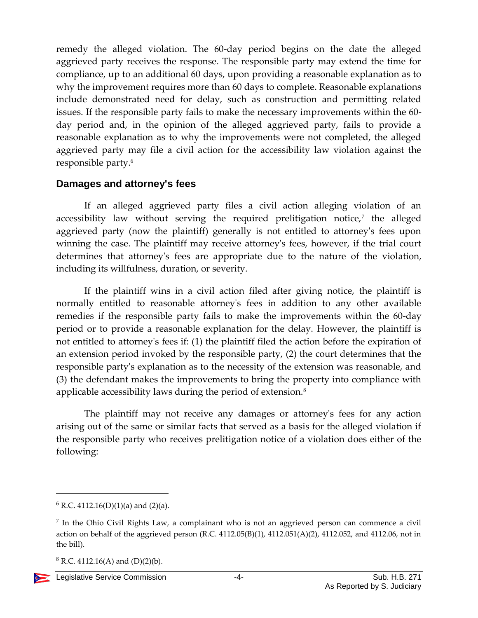remedy the alleged violation. The 60-day period begins on the date the alleged aggrieved party receives the response. The responsible party may extend the time for compliance, up to an additional 60 days, upon providing a reasonable explanation as to why the improvement requires more than 60 days to complete. Reasonable explanations include demonstrated need for delay, such as construction and permitting related issues. If the responsible party fails to make the necessary improvements within the 60 day period and, in the opinion of the alleged aggrieved party, fails to provide a reasonable explanation as to why the improvements were not completed, the alleged aggrieved party may file a civil action for the accessibility law violation against the responsible party.<sup>6</sup>

#### **Damages and attorney's fees**

If an alleged aggrieved party files a civil action alleging violation of an accessibility law without serving the required prelitigation notice,<sup>7</sup> the alleged aggrieved party (now the plaintiff) generally is not entitled to attorney's fees upon winning the case. The plaintiff may receive attorney's fees, however, if the trial court determines that attorney's fees are appropriate due to the nature of the violation, including its willfulness, duration, or severity.

If the plaintiff wins in a civil action filed after giving notice, the plaintiff is normally entitled to reasonable attorney's fees in addition to any other available remedies if the responsible party fails to make the improvements within the 60-day period or to provide a reasonable explanation for the delay. However, the plaintiff is not entitled to attorney's fees if: (1) the plaintiff filed the action before the expiration of an extension period invoked by the responsible party, (2) the court determines that the responsible party's explanation as to the necessity of the extension was reasonable, and (3) the defendant makes the improvements to bring the property into compliance with applicable accessibility laws during the period of extension.<sup>8</sup>

The plaintiff may not receive any damages or attorney's fees for any action arising out of the same or similar facts that served as a basis for the alleged violation if the responsible party who receives prelitigation notice of a violation does either of the following:

 $8$  R.C. 4112.16(A) and (D)(2)(b).



 $6$  R.C. 4112.16(D)(1)(a) and (2)(a).

<sup>&</sup>lt;sup>7</sup> In the Ohio Civil Rights Law, a complainant who is not an aggrieved person can commence a civil action on behalf of the aggrieved person (R.C. 4112.05(B)(1), 4112.051(A)(2), 4112.052, and 4112.06, not in the bill).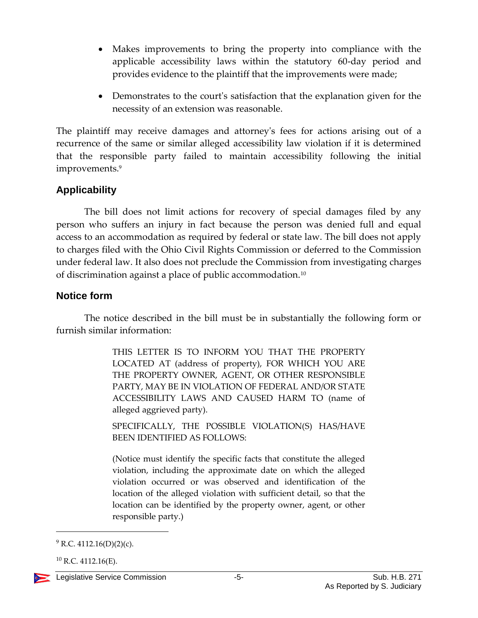- Makes improvements to bring the property into compliance with the applicable accessibility laws within the statutory 60-day period and provides evidence to the plaintiff that the improvements were made;
- Demonstrates to the court's satisfaction that the explanation given for the necessity of an extension was reasonable.

The plaintiff may receive damages and attorney's fees for actions arising out of a recurrence of the same or similar alleged accessibility law violation if it is determined that the responsible party failed to maintain accessibility following the initial improvements.<sup>9</sup>

#### **Applicability**

The bill does not limit actions for recovery of special damages filed by any person who suffers an injury in fact because the person was denied full and equal access to an accommodation as required by federal or state law. The bill does not apply to charges filed with the Ohio Civil Rights Commission or deferred to the Commission under federal law. It also does not preclude the Commission from investigating charges of discrimination against a place of public accommodation.<sup>10</sup>

#### **Notice form**

The notice described in the bill must be in substantially the following form or furnish similar information:

> THIS LETTER IS TO INFORM YOU THAT THE PROPERTY LOCATED AT (address of property), FOR WHICH YOU ARE THE PROPERTY OWNER, AGENT, OR OTHER RESPONSIBLE PARTY, MAY BE IN VIOLATION OF FEDERAL AND/OR STATE ACCESSIBILITY LAWS AND CAUSED HARM TO (name of alleged aggrieved party).

> SPECIFICALLY, THE POSSIBLE VIOLATION(S) HAS/HAVE BEEN IDENTIFIED AS FOLLOWS:

> (Notice must identify the specific facts that constitute the alleged violation, including the approximate date on which the alleged violation occurred or was observed and identification of the location of the alleged violation with sufficient detail, so that the location can be identified by the property owner, agent, or other responsible party.)

 $^{10}$  R.C. 4112.16(E).



 $9$  R.C. 4112.16(D)(2)(c).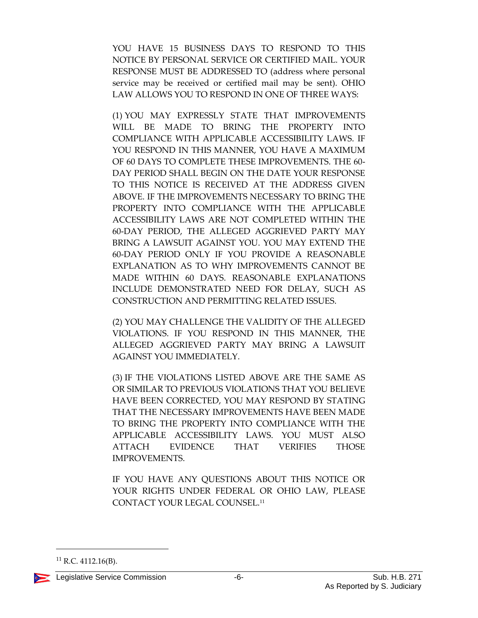YOU HAVE 15 BUSINESS DAYS TO RESPOND TO THIS NOTICE BY PERSONAL SERVICE OR CERTIFIED MAIL. YOUR RESPONSE MUST BE ADDRESSED TO (address where personal service may be received or certified mail may be sent). OHIO LAW ALLOWS YOU TO RESPOND IN ONE OF THREE WAYS:

(1) YOU MAY EXPRESSLY STATE THAT IMPROVEMENTS WILL BE MADE TO BRING THE PROPERTY INTO COMPLIANCE WITH APPLICABLE ACCESSIBILITY LAWS. IF YOU RESPOND IN THIS MANNER, YOU HAVE A MAXIMUM OF 60 DAYS TO COMPLETE THESE IMPROVEMENTS. THE 60- DAY PERIOD SHALL BEGIN ON THE DATE YOUR RESPONSE TO THIS NOTICE IS RECEIVED AT THE ADDRESS GIVEN ABOVE. IF THE IMPROVEMENTS NECESSARY TO BRING THE PROPERTY INTO COMPLIANCE WITH THE APPLICABLE ACCESSIBILITY LAWS ARE NOT COMPLETED WITHIN THE 60-DAY PERIOD, THE ALLEGED AGGRIEVED PARTY MAY BRING A LAWSUIT AGAINST YOU. YOU MAY EXTEND THE 60-DAY PERIOD ONLY IF YOU PROVIDE A REASONABLE EXPLANATION AS TO WHY IMPROVEMENTS CANNOT BE MADE WITHIN 60 DAYS. REASONABLE EXPLANATIONS INCLUDE DEMONSTRATED NEED FOR DELAY, SUCH AS CONSTRUCTION AND PERMITTING RELATED ISSUES.

(2) YOU MAY CHALLENGE THE VALIDITY OF THE ALLEGED VIOLATIONS. IF YOU RESPOND IN THIS MANNER, THE ALLEGED AGGRIEVED PARTY MAY BRING A LAWSUIT AGAINST YOU IMMEDIATELY.

(3) IF THE VIOLATIONS LISTED ABOVE ARE THE SAME AS OR SIMILAR TO PREVIOUS VIOLATIONS THAT YOU BELIEVE HAVE BEEN CORRECTED, YOU MAY RESPOND BY STATING THAT THE NECESSARY IMPROVEMENTS HAVE BEEN MADE TO BRING THE PROPERTY INTO COMPLIANCE WITH THE APPLICABLE ACCESSIBILITY LAWS. YOU MUST ALSO ATTACH EVIDENCE THAT VERIFIES THOSE IMPROVEMENTS.

IF YOU HAVE ANY QUESTIONS ABOUT THIS NOTICE OR YOUR RIGHTS UNDER FEDERAL OR OHIO LAW, PLEASE CONTACT YOUR LEGAL COUNSEL.<sup>11</sup>

 $^{11}$  R.C. 4112.16(B).